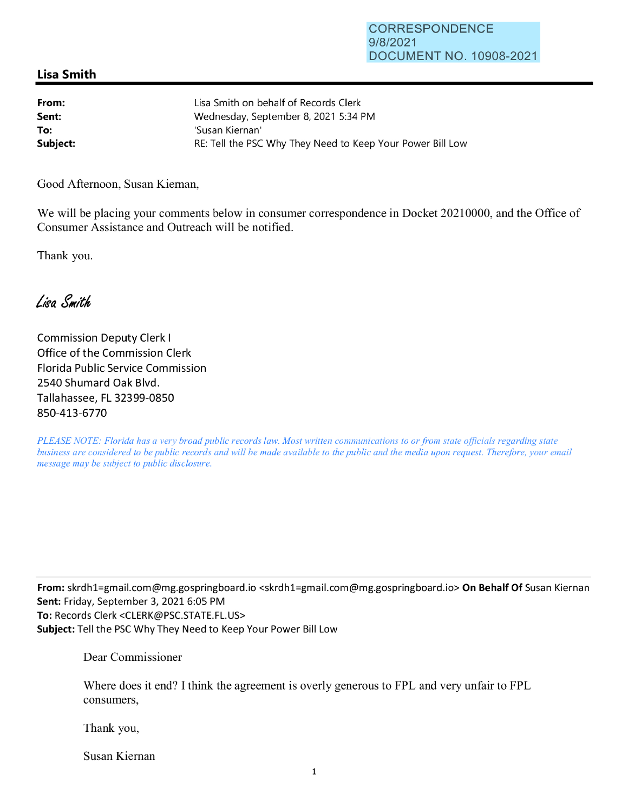## **Lisa Smith**

| From:    | Lisa Smith on behalf of Records Clerk                      |
|----------|------------------------------------------------------------|
| Sent:    | Wednesday, September 8, 2021 5:34 PM                       |
| To:      | 'Susan Kiernan'                                            |
| Subject: | RE: Tell the PSC Why They Need to Keep Your Power Bill Low |

Good Afternoon, Susan Kiernan,

We will be placing your comments below in consumer correspondence in Docket 20210000, and the Office of Consumer Assistance and Outreach will be notified.

Thank you.

Lisa Smith

Commission Deputy Clerk I Office of the Commission Clerk Florida Public Service Commission 2540 Shumard Oak Blvd. Tallahassee, FL 32399-0850 850-413-6770

*PLEASE NOTE: Florida has a very broad public records law. Most written communications to or from state officials regarding state business are considered to be public records and will be made available to the public and the media upon request. Therefore, your email message may be subject to public disclosure.* 

**From:** skrdh1=gmail.com@mg.gospringboard.io <skrdh1=gmai1.com@mg.gospringboard.io> **On Behalf Of** Susan Kiernan **Sent:** Friday, September 3, 2021 6:05 PM **To:** Records Clerk <CLERK@PSC.STATE.FL.US> **Subject:** Tell the PSC Why They Need to Keep Your Power Bill Low

Dear Commissioner

Where does it end? I think the agreement is overly generous to FPL and very unfair to FPL consumers,

Thank you,

Susan Kiernan